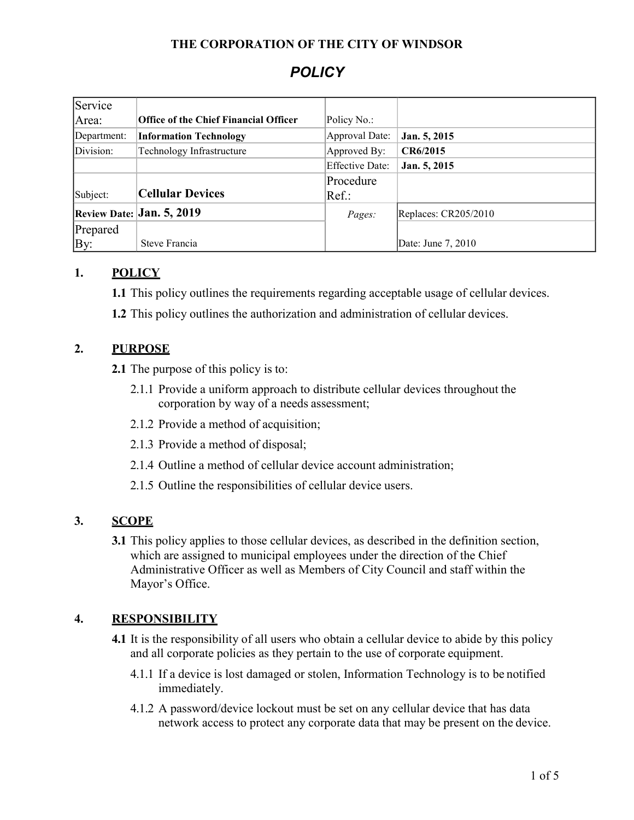### **THE CORPORATION OF THE CITY OF WINDSOR**

# *POLICY*

| Service                   |                                              |                        |                      |  |
|---------------------------|----------------------------------------------|------------------------|----------------------|--|
| Area:                     | <b>Office of the Chief Financial Officer</b> | Policy No.:            |                      |  |
| Department:               | <b>Information Technology</b>                | Approval Date:         | Jan. 5, 2015         |  |
| Division:                 | Technology Infrastructure                    | Approved By:           | CR6/2015             |  |
|                           |                                              | <b>Effective Date:</b> | Jan. 5, 2015         |  |
|                           |                                              | Procedure              |                      |  |
| Subject:                  | <b>Cellular Devices</b>                      | $Ref.$ :               |                      |  |
| Review Date: Jan. 5, 2019 |                                              | Pages:                 | Replaces: CR205/2010 |  |
| Prepared                  |                                              |                        |                      |  |
| By:                       | Steve Francia                                |                        | Date: June 7, 2010   |  |

## **1. POLICY**

**1.1** This policy outlines the requirements regarding acceptable usage of cellular devices.

**1.2** This policy outlines the authorization and administration of cellular devices.

### **2. PURPOSE**

**2.1** The purpose of this policy is to:

- 2.1.1 Provide a uniform approach to distribute cellular devices throughout the corporation by way of a needs assessment;
- 2.1.2 Provide a method of acquisition;
- 2.1.3 Provide a method of disposal;
- 2.1.4 Outline a method of cellular device account administration;
- 2.1.5 Outline the responsibilities of cellular device users.

# **3. SCOPE**

**3.1** This policy applies to those cellular devices, as described in the definition section, which are assigned to municipal employees under the direction of the Chief Administrative Officer as well as Members of City Council and staff within the Mayor's Office.

### **4. RESPONSIBILITY**

**4.1** It is the responsibility of all users who obtain a cellular device to abide by this policy and all corporate policies as they pertain to the use of corporate equipment.

- 4.1.1 If a device is lost damaged or stolen, Information Technology is to be notified immediately.
- 4.1.2 A password/device lockout must be set on any cellular device that has data network access to protect any corporate data that may be present on the device.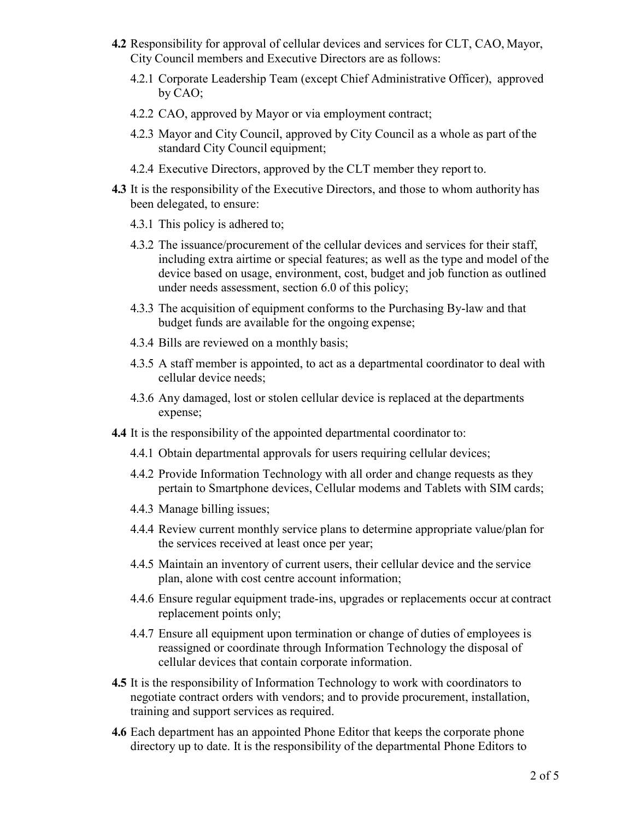- **4.2** Responsibility for approval of cellular devices and services for CLT, CAO, Mayor, City Council members and Executive Directors are as follows:
	- 4.2.1 Corporate Leadership Team (except Chief Administrative Officer), approved by CAO;
	- 4.2.2 CAO, approved by Mayor or via employment contract;
	- 4.2.3 Mayor and City Council, approved by City Council as a whole as part of the standard City Council equipment;
	- 4.2.4 Executive Directors, approved by the CLT member they report to.
- **4.3** It is the responsibility of the Executive Directors, and those to whom authority has been delegated, to ensure:
	- 4.3.1 This policy is adhered to;
	- 4.3.2 The issuance/procurement of the cellular devices and services for their staff, including extra airtime or special features; as well as the type and model of the device based on usage, environment, cost, budget and job function as outlined under needs assessment, section 6.0 of this policy;
	- 4.3.3 The acquisition of equipment conforms to the Purchasing By-law and that budget funds are available for the ongoing expense;
	- 4.3.4 Bills are reviewed on a monthly basis;
	- 4.3.5 A staff member is appointed, to act as a departmental coordinator to deal with cellular device needs;
	- 4.3.6 Any damaged, lost or stolen cellular device is replaced at the departments expense;
- **4.4** It is the responsibility of the appointed departmental coordinator to:
	- 4.4.1 Obtain departmental approvals for users requiring cellular devices;
	- 4.4.2 Provide Information Technology with all order and change requests as they pertain to Smartphone devices, Cellular modems and Tablets with SIM cards;
	- 4.4.3 Manage billing issues;
	- 4.4.4 Review current monthly service plans to determine appropriate value/plan for the services received at least once per year;
	- 4.4.5 Maintain an inventory of current users, their cellular device and the service plan, alone with cost centre account information;
	- 4.4.6 Ensure regular equipment trade-ins, upgrades or replacements occur at contract replacement points only;
	- 4.4.7 Ensure all equipment upon termination or change of duties of employees is reassigned or coordinate through Information Technology the disposal of cellular devices that contain corporate information.
- **4.5** It is the responsibility of Information Technology to work with coordinators to negotiate contract orders with vendors; and to provide procurement, installation, training and support services as required.
- **4.6** Each department has an appointed Phone Editor that keeps the corporate phone directory up to date. It is the responsibility of the departmental Phone Editors to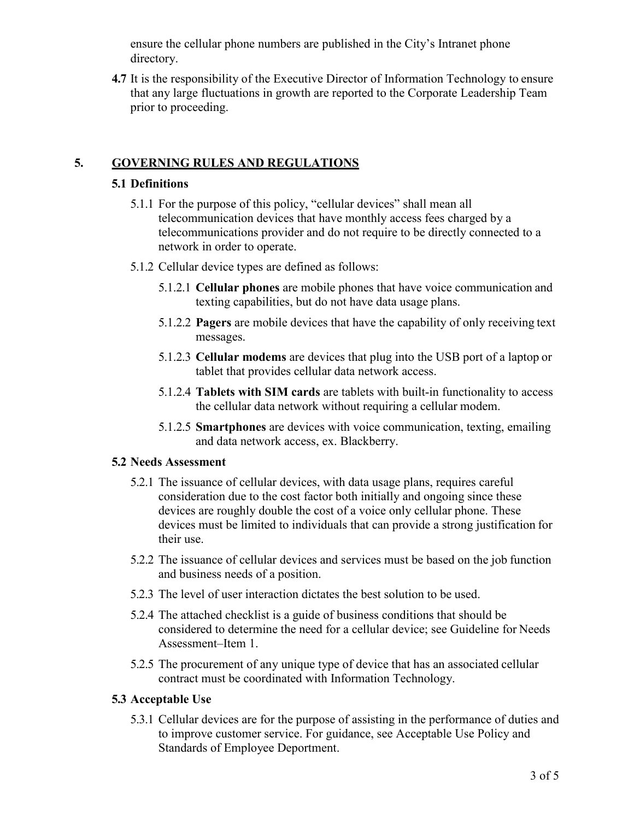ensure the cellular phone numbers are published in the City's Intranet phone directory.

**4.7** It is the responsibility of the Executive Director of Information Technology to ensure that any large fluctuations in growth are reported to the Corporate Leadership Team prior to proceeding.

## **5. GOVERNING RULES AND REGULATIONS**

#### **5.1 Definitions**

- 5.1.1 For the purpose of this policy, "cellular devices" shall mean all telecommunication devices that have monthly access fees charged by a telecommunications provider and do not require to be directly connected to a network in order to operate.
- 5.1.2 Cellular device types are defined as follows:
	- 5.1.2.1 **Cellular phones** are mobile phones that have voice communication and texting capabilities, but do not have data usage plans.
	- 5.1.2.2 **Pagers** are mobile devices that have the capability of only receiving text messages.
	- 5.1.2.3 **Cellular modems** are devices that plug into the USB port of a laptop or tablet that provides cellular data network access.
	- 5.1.2.4 **Tablets with SIM cards** are tablets with built-in functionality to access the cellular data network without requiring a cellular modem.
	- 5.1.2.5 **Smartphones** are devices with voice communication, texting, emailing and data network access, ex. Blackberry.

#### **5.2 Needs Assessment**

- 5.2.1 The issuance of cellular devices, with data usage plans, requires careful consideration due to the cost factor both initially and ongoing since these devices are roughly double the cost of a voice only cellular phone. These devices must be limited to individuals that can provide a strong justification for their use.
- 5.2.2 The issuance of cellular devices and services must be based on the job function and business needs of a position.
- 5.2.3 The level of user interaction dictates the best solution to be used.
- 5.2.4 The attached checklist is a guide of business conditions that should be considered to determine the need for a cellular device; see Guideline for Needs Assessment–Item 1.
- 5.2.5 The procurement of any unique type of device that has an associated cellular contract must be coordinated with Information Technology.

### **5.3 Acceptable Use**

5.3.1 Cellular devices are for the purpose of assisting in the performance of duties and to improve customer service. For guidance, see Acceptable Use Policy and Standards of Employee Deportment.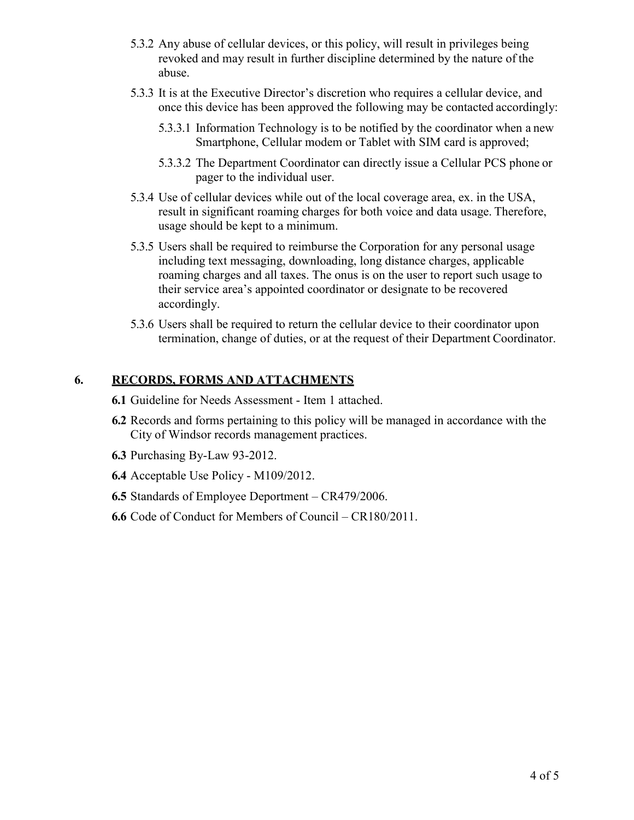- 5.3.2 Any abuse of cellular devices, or this policy, will result in privileges being revoked and may result in further discipline determined by the nature of the abuse.
- 5.3.3 It is at the Executive Director's discretion who requires a cellular device, and once this device has been approved the following may be contacted accordingly:
	- 5.3.3.1 Information Technology is to be notified by the coordinator when a new Smartphone, Cellular modem or Tablet with SIM card is approved;
	- 5.3.3.2 The Department Coordinator can directly issue a Cellular PCS phone or pager to the individual user.
- 5.3.4 Use of cellular devices while out of the local coverage area, ex. in the USA, result in significant roaming charges for both voice and data usage. Therefore, usage should be kept to a minimum.
- 5.3.5 Users shall be required to reimburse the Corporation for any personal usage including text messaging, downloading, long distance charges, applicable roaming charges and all taxes. The onus is on the user to report such usage to their service area's appointed coordinator or designate to be recovered accordingly.
- 5.3.6 Users shall be required to return the cellular device to their coordinator upon termination, change of duties, or at the request of their Department Coordinator.

#### **6. RECORDS, FORMS AND ATTACHMENTS**

- **6.1** Guideline for Needs Assessment Item 1 attached.
- **6.2** Records and forms pertaining to this policy will be managed in accordance with the City of Windsor records management practices.
- **6.3** Purchasing By-Law 93-2012.
- **6.4** Acceptable Use Policy M109/2012.
- **6.5** Standards of Employee Deportment CR479/2006.
- **6.6** Code of Conduct for Members of Council CR180/2011.